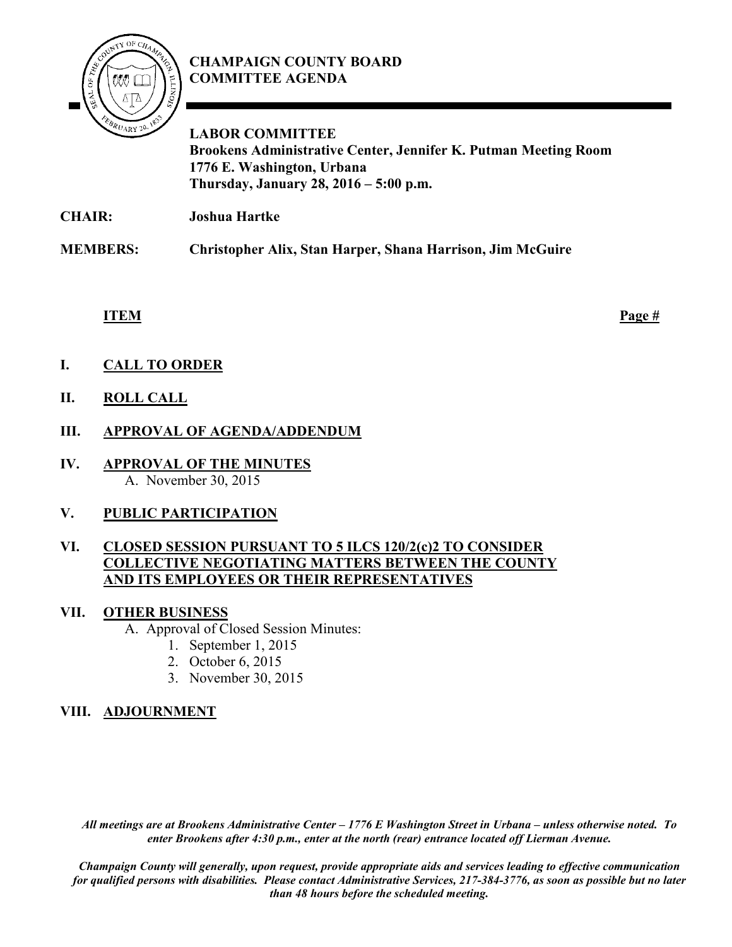

# **CHAMPAIGN COUNTY BOARD COMMITTEE AGENDA**

**LABOR COMMITTEE Brookens Administrative Center, Jennifer K. Putman Meeting Room 1776 E. Washington, Urbana Thursday, January 28, 2016 – 5:00 p.m.**

**CHAIR: Joshua Hartke**

**MEMBERS: Christopher Alix, Stan Harper, Shana Harrison, Jim McGuire**

**ITEM Page #**

- **I. CALL TO ORDER**
- **II. ROLL CALL**
- **III. APPROVAL OF AGENDA/ADDENDUM**
- **IV. APPROVAL OF THE MINUTES** A. November 30, 2015

# **V. PUBLIC PARTICIPATION**

### **VI. CLOSED SESSION PURSUANT TO 5 ILCS 120/2(c)2 TO CONSIDER COLLECTIVE NEGOTIATING MATTERS BETWEEN THE COUNTY AND ITS EMPLOYEES OR THEIR REPRESENTATIVES**

# **VII. OTHER BUSINESS**

A. Approval of Closed Session Minutes:

- 1. September 1, 2015
- 2. October 6, 2015
- 3. November 30, 2015

# **VIII. ADJOURNMENT**

*All meetings are at Brookens Administrative Center – 1776 E Washington Street in Urbana – unless otherwise noted. To enter Brookens after 4:30 p.m., enter at the north (rear) entrance located off Lierman Avenue.* 

*Champaign County will generally, upon request, provide appropriate aids and services leading to effective communication for qualified persons with disabilities. Please contact Administrative Services, 217-384-3776, as soon as possible but no later than 48 hours before the scheduled meeting.*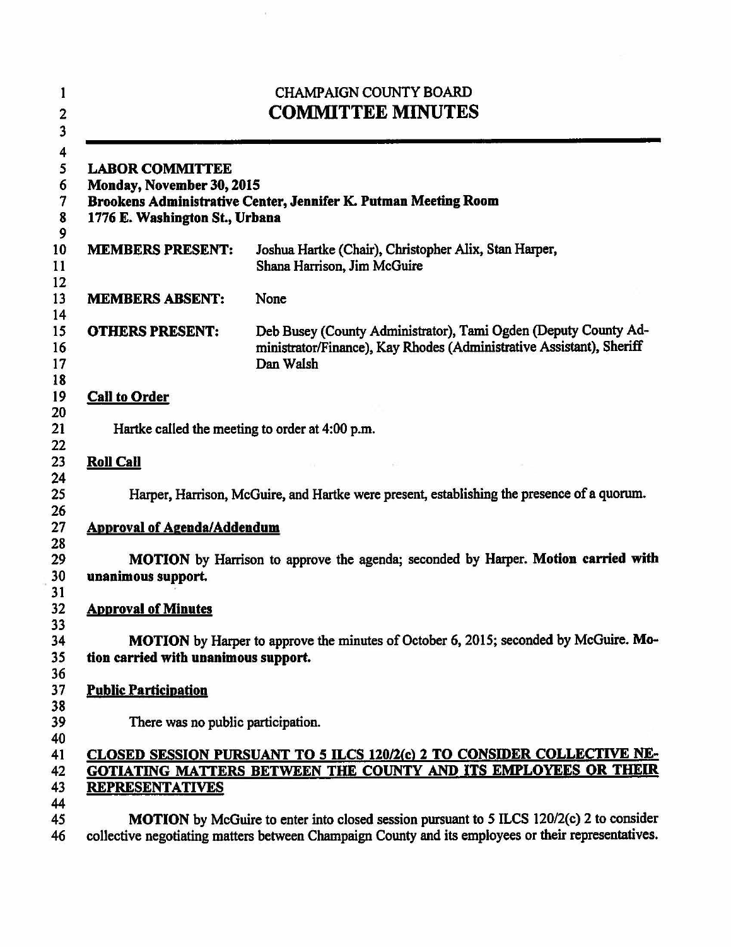| 1<br>$\overline{c}$<br>$\overline{\mathbf{3}}$         | <b>CHAMPAIGN COUNTY BOARD</b><br><b>COMMITTEE MINUTES</b>                                                                                                                                              |                                                                                                                                                      |  |
|--------------------------------------------------------|--------------------------------------------------------------------------------------------------------------------------------------------------------------------------------------------------------|------------------------------------------------------------------------------------------------------------------------------------------------------|--|
| 4<br>5<br>6<br>$\overline{7}$<br>$\boldsymbol{8}$<br>9 | <b>LABOR COMMITTEE</b><br>Monday, November 30, 2015<br>Brookens Administrative Center, Jennifer K. Putman Meeting Room<br>1776 E. Washington St., Urbana                                               |                                                                                                                                                      |  |
| 10<br>11<br>12                                         | <b>MEMBERS PRESENT:</b>                                                                                                                                                                                | Joshua Hartke (Chair), Christopher Alix, Stan Harper,<br>Shana Harrison, Jim McGuire                                                                 |  |
| 13<br>14                                               | <b>MEMBERS ABSENT:</b>                                                                                                                                                                                 | None                                                                                                                                                 |  |
| 15<br>16<br>17<br>18                                   | <b>OTHERS PRESENT:</b>                                                                                                                                                                                 | Deb Busey (County Administrator), Tami Ogden (Deputy County Ad-<br>ministrator/Finance), Kay Rhodes (Administrative Assistant), Sheriff<br>Dan Walsh |  |
| 19<br>20                                               | <b>Call to Order</b>                                                                                                                                                                                   |                                                                                                                                                      |  |
| 21                                                     | Hartke called the meeting to order at 4:00 p.m.                                                                                                                                                        |                                                                                                                                                      |  |
| 22<br>23                                               | <b>Roll Call</b>                                                                                                                                                                                       |                                                                                                                                                      |  |
| 24<br>25                                               | Harper, Harrison, McGuire, and Hartke were present, establishing the presence of a quorum.                                                                                                             |                                                                                                                                                      |  |
| 26<br>27                                               | <b>Approval of Agenda/Addendum</b>                                                                                                                                                                     |                                                                                                                                                      |  |
| 28<br>29<br>30                                         | MOTION by Harrison to approve the agenda; seconded by Harper. Motion carried with<br>unanimous support.                                                                                                |                                                                                                                                                      |  |
| 31<br>32                                               | <b>Approval of Minutes</b>                                                                                                                                                                             |                                                                                                                                                      |  |
| 33<br>34<br>35<br>36                                   | MOTION by Harper to approve the minutes of October 6, 2015; seconded by McGuire. Mo-<br>tion carried with unanimous support.                                                                           |                                                                                                                                                      |  |
| 37<br>38                                               | <b>Public Participation</b>                                                                                                                                                                            |                                                                                                                                                      |  |
| 39                                                     | There was no public participation.                                                                                                                                                                     |                                                                                                                                                      |  |
| 40<br>41<br>42<br>43<br>44                             | <b>REPRESENTATIVES</b>                                                                                                                                                                                 | CLOSED SESSION PURSUANT TO 5 ILCS 120/2(c) 2 TO CONSIDER COLLECTIVE NE-<br>GOTIATING MATTERS BETWEEN THE COUNTY AND ITS EMPLOYEES OR THEIR           |  |
| 45<br>46                                               | <b>MOTION</b> by McGuire to enter into closed session pursuant to 5 ILCS 120/2(c) 2 to consider<br>collective negotiating matters between Champaign County and its employees or their representatives. |                                                                                                                                                      |  |

 $\cdot \tilde{e}$